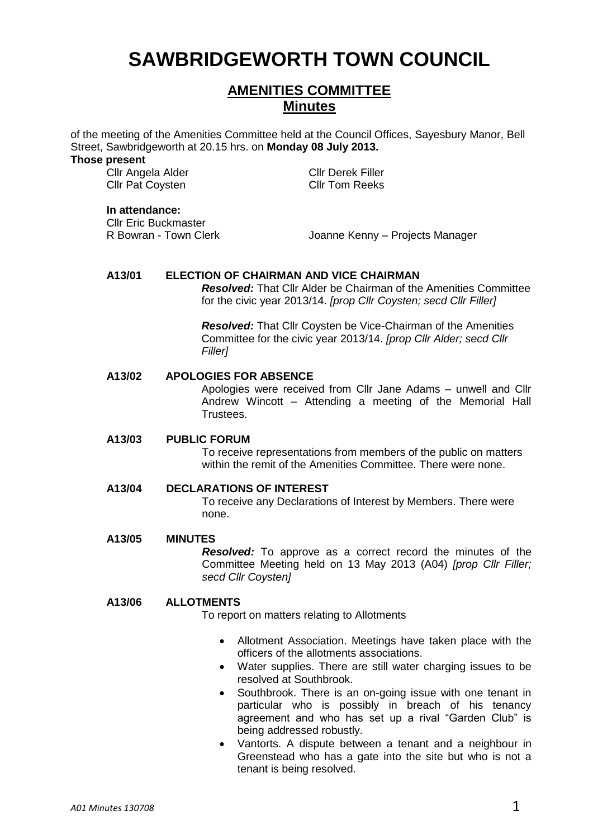# **SAWBRIDGEWORTH TOWN COUNCIL**

# **AMENITIES COMMITTEE Minutes**

of the meeting of the Amenities Committee held at the Council Offices, Sayesbury Manor, Bell Street, Sawbridgeworth at 20.15 hrs. on **Monday 08 July 2013.**

#### **Those present**

Cllr Angela Alder Cllr Derek Filler Cllr Pat Coysten Cllr Tom Reeks

## **In attendance:**

Cllr Eric Buckmaster

R Bowran - Town Clerk Joanne Kenny – Projects Manager

# **A13/01 ELECTION OF CHAIRMAN AND VICE CHAIRMAN**

*Resolved:* That Cllr Alder be Chairman of the Amenities Committee for the civic year 2013/14. *[prop Cllr Coysten; secd Cllr Filler]*

*Resolved:* That Cllr Coysten be Vice-Chairman of the Amenities Committee for the civic year 2013/14. *[prop Cllr Alder; secd Cllr Filler]*

# **A13/02 APOLOGIES FOR ABSENCE**

Apologies were received from Cllr Jane Adams – unwell and Cllr Andrew Wincott – Attending a meeting of the Memorial Hall Trustees.

# **A13/03 PUBLIC FORUM**

To receive representations from members of the public on matters within the remit of the Amenities Committee. There were none.

#### **A13/04 DECLARATIONS OF INTEREST**

To receive any Declarations of Interest by Members. There were none.

#### **A13/05 MINUTES**

*Resolved:* To approve as a correct record the minutes of the Committee Meeting held on 13 May 2013 (A04) *[prop Cllr Filler; secd Cllr Coysten]*

### **A13/06 ALLOTMENTS**

To report on matters relating to Allotments

- Allotment Association. Meetings have taken place with the officers of the allotments associations.
- Water supplies. There are still water charging issues to be resolved at Southbrook.
- Southbrook. There is an on-going issue with one tenant in particular who is possibly in breach of his tenancy agreement and who has set up a rival "Garden Club" is being addressed robustly.
- Vantorts. A dispute between a tenant and a neighbour in Greenstead who has a gate into the site but who is not a tenant is being resolved.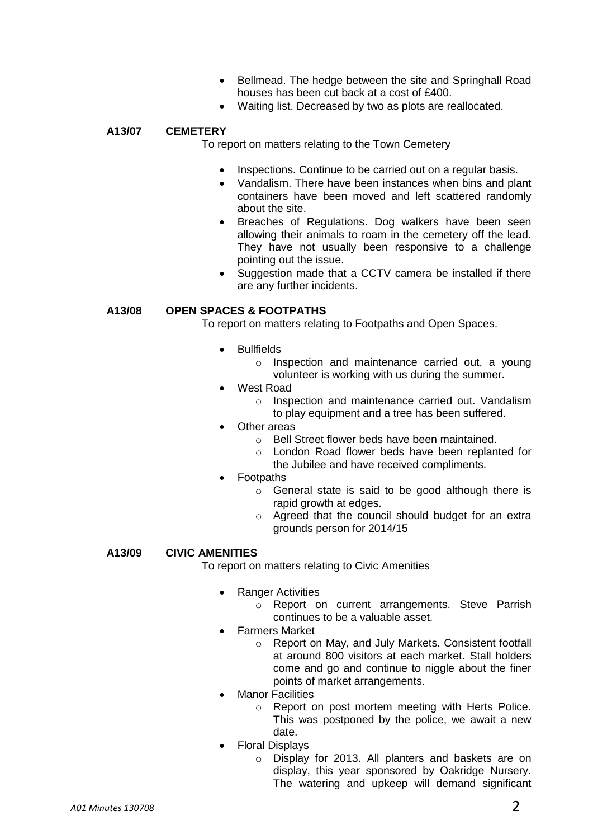- Bellmead. The hedge between the site and Springhall Road houses has been cut back at a cost of £400.
- Waiting list. Decreased by two as plots are reallocated.

# **A13/07 CEMETERY**

To report on matters relating to the Town Cemetery

- Inspections. Continue to be carried out on a regular basis.
- Vandalism. There have been instances when bins and plant containers have been moved and left scattered randomly about the site.
- Breaches of Regulations. Dog walkers have been seen allowing their animals to roam in the cemetery off the lead. They have not usually been responsive to a challenge pointing out the issue.
- Suggestion made that a CCTV camera be installed if there are any further incidents.

# **A13/08 OPEN SPACES & FOOTPATHS**

To report on matters relating to Footpaths and Open Spaces.

- Bullfields
	- o Inspection and maintenance carried out, a young volunteer is working with us during the summer.
- West Road
	- o Inspection and maintenance carried out. Vandalism to play equipment and a tree has been suffered.
- Other areas
	- o Bell Street flower beds have been maintained.
	- o London Road flower beds have been replanted for the Jubilee and have received compliments.
- Footpaths
	- o General state is said to be good although there is rapid growth at edges.
	- o Agreed that the council should budget for an extra grounds person for 2014/15

# **A13/09 CIVIC AMENITIES**

To report on matters relating to Civic Amenities

- Ranger Activities
	- o Report on current arrangements. Steve Parrish continues to be a valuable asset.
- Farmers Market
	- o Report on May, and July Markets. Consistent footfall at around 800 visitors at each market. Stall holders come and go and continue to niggle about the finer points of market arrangements.
- Manor Facilities
	- o Report on post mortem meeting with Herts Police. This was postponed by the police, we await a new date.
- Floral Displays
	- o Display for 2013. All planters and baskets are on display, this year sponsored by Oakridge Nursery. The watering and upkeep will demand significant